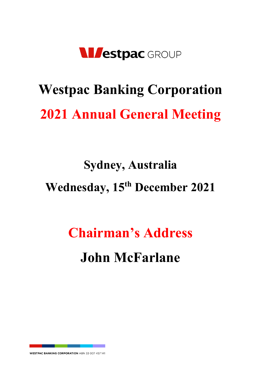

# **Westpac Banking Corporation 2021 Annual General Meeting**

## **Sydney, Australia Wednesday, 15th December 2021**

## **Chairman's Address John McFarlane**

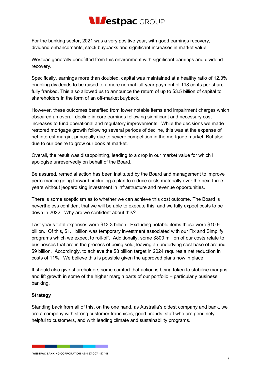## **Nivestpac** GROUP

For the banking sector, 2021 was a very positive year, with good earnings recovery, dividend enhancements, stock buybacks and significant increases in market value.

Westpac generally benefitted from this environment with significant earnings and dividend recovery.

Specifically, earnings more than doubled, capital was maintained at a healthy ratio of 12.3%, enabling dividends to be raised to a more normal full-year payment of 118 cents per share fully franked. This also allowed us to announce the return of up to \$3.5 billion of capital to shareholders in the form of an off-market buyback.

However, these outcomes benefited from lower notable items and impairment charges which obscured an overall decline in core earnings following significant and necessary cost increases to fund operational and regulatory improvements. While the decisions we made restored mortgage growth following several periods of decline, this was at the expense of net interest margin, principally due to severe competition in the mortgage market. But also due to our desire to grow our book at market.

Overall, the result was disappointing, leading to a drop in our market value for which I apologise unreservedly on behalf of the Board.

Be assured, remedial action has been instituted by the Board and management to improve performance going forward, including a plan to reduce costs materially over the next three years without jeopardising investment in infrastructure and revenue opportunities.

There is some scepticism as to whether we can achieve this cost outcome. The Board is nevertheless confident that we will be able to execute this, and we fully expect costs to be down in 2022. Why are we confident about this?

Last year's total expenses were \$13.3 billion. Excluding notable items these were \$10.9 billion. Of this, \$1.1 billion was temporary investment associated with our Fix and Simplify programs which we expect to roll-off. Additionally, some \$800 million of our costs relate to businesses that are in the process of being sold, leaving an underlying cost base of around \$9 billion. Accordingly, to achieve the \$8 billion target in 2024 requires a net reduction in costs of 11%. We believe this is possible given the approved plans now in place.

It should also give shareholders some comfort that action is being taken to stabilise margins and lift growth in some of the higher margin parts of our portfolio – particularly business banking.

#### **Strategy**

Standing back from all of this, on the one hand, as Australia's oldest company and bank, we are a company with strong customer franchises, good brands, staff who are genuinely helpful to customers, and with leading climate and sustainability programs.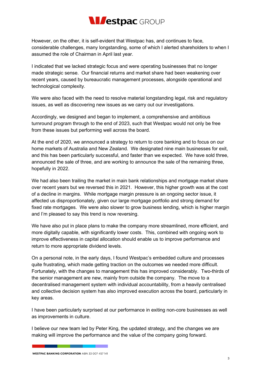### **Nivestpac** GROUP

However, on the other, it is self-evident that Westpac has, and continues to face, considerable challenges, many longstanding, some of which I alerted shareholders to when I assumed the role of Chairman in April last year.

I indicated that we lacked strategic focus and were operating businesses that no longer made strategic sense. Our financial returns and market share had been weakening over recent years, caused by bureaucratic management processes, alongside operational and technological complexity.

We were also faced with the need to resolve material longstanding legal, risk and regulatory issues, as well as discovering new issues as we carry out our investigations.

Accordingly, we designed and began to implement, a comprehensive and ambitious turnround program through to the end of 2023, such that Westpac would not only be free from these issues but performing well across the board.

At the end of 2020, we announced a strategy to return to core banking and to focus on our home markets of Australia and New Zealand. We designated nine main businesses for exit, and this has been particularly successful, and faster than we expected. We have sold three, announced the sale of three, and are working to announce the sale of the remaining three, hopefully in 2022.

We had also been trailing the market in main bank relationships and mortgage market share over recent years but we reversed this in 2021. However, this higher growth was at the cost of a decline in margins. While mortgage margin pressure is an ongoing sector issue, it affected us disproportionately, given our large mortgage portfolio and strong demand for fixed rate mortgages. We were also slower to grow business lending, which is higher margin and I'm pleased to say this trend is now reversing.

We have also put in place plans to make the company more streamlined, more efficient, and more digitally capable, with significantly lower costs. This, combined with ongoing work to improve effectiveness in capital allocation should enable us to improve performance and return to more appropriate dividend levels.

On a personal note, in the early days, I found Westpac's embedded culture and processes quite frustrating, which made getting traction on the outcomes we needed more difficult. Fortunately, with the changes to management this has improved considerably. Two-thirds of the senior management are new, mainly from outside the company. The move to a decentralised management system with individual accountability, from a heavily centralised and collective decision system has also improved execution across the board, particularly in key areas.

I have been particularly surprised at our performance in exiting non-core businesses as well as improvements in culture.

I believe our new team led by Peter King, the updated strategy, and the changes we are making will improve the performance and the value of the company going forward.

**WESTPAC BANKING CORPORATION ABN 33 007 457 141**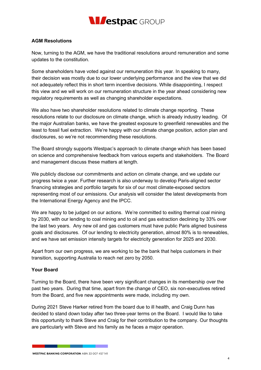

#### **AGM Resolutions**

Now, turning to the AGM, we have the traditional resolutions around remuneration and some updates to the constitution.

Some shareholders have voted against our remuneration this year. In speaking to many, their decision was mostly due to our lower underlying performance and the view that we did not adequately reflect this in short term incentive decisions. While disappointing, I respect this view and we will work on our remuneration structure in the year ahead considering new regulatory requirements as well as changing shareholder expectations.

We also have two shareholder resolutions related to climate change reporting. These resolutions relate to our disclosure on climate change, which is already industry leading. Of the major Australian banks, we have the greatest exposure to greenfield renewables and the least to fossil fuel extraction. We're happy with our climate change position, action plan and disclosures, so we're not recommending these resolutions.

The Board strongly supports Westpac's approach to climate change which has been based on science and comprehensive feedback from various experts and stakeholders. The Board and management discuss these matters at length.

We publicly disclose our commitments and action on climate change, and we update our progress twice a year. Further research is also underway to develop Paris-aligned sector financing strategies and portfolio targets for six of our most climate-exposed sectors representing most of our emissions. Our analysis will consider the latest developments from the International Energy Agency and the IPCC.

We are happy to be judged on our actions. We're committed to exiting thermal coal mining by 2030, with our lending to coal mining and to oil and gas extraction declining by 33% over the last two years. Any new oil and gas customers must have public Paris aligned business goals and disclosures. Of our lending to electricity generation, almost 80% is to renewables, and we have set emission intensity targets for electricity generation for 2025 and 2030.

Apart from our own progress, we are working to be the bank that helps customers in their transition, supporting Australia to reach net zero by 2050.

#### **Your Board**

Turning to the Board, there have been very significant changes in its membership over the past two years. During that time, apart from the change of CEO, six non-executives retired from the Board, and five new appointments were made, including my own.

During 2021 Steve Harker retired from the board due to ill health, and Craig Dunn has decided to stand down today after two three-year terms on the Board. I would like to take this opportunity to thank Steve and Craig for their contribution to the company. Our thoughts are particularly with Steve and his family as he faces a major operation.

**WESTPAC BANKING CORPORATION ABN 33 007 457 141**